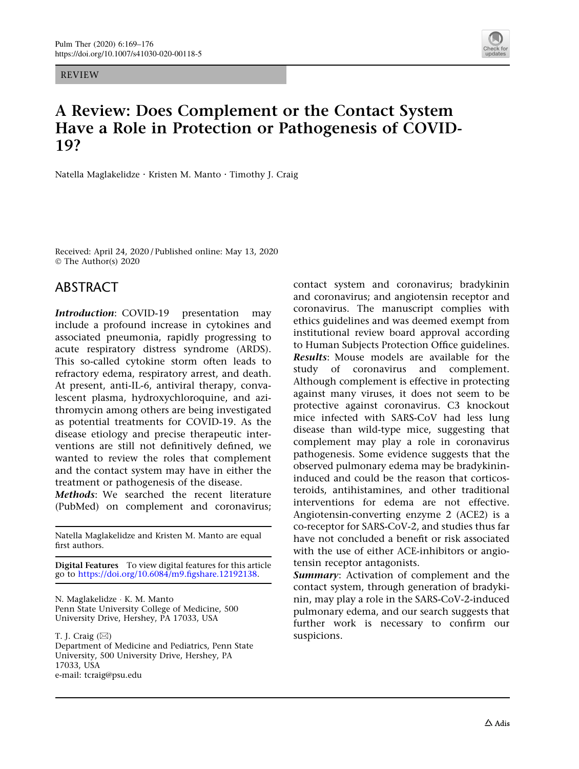REVIEW



# A Review: Does Complement or the Contact System Have a Role in Protection or Pathogenesis of COVID-19?

Natella Maglakelidze . Kristen M. Manto . Timothy J. Craig

Received: April 24, 2020 / Published online: May 13, 2020 © The Author(s) 2020

#### ABSTRACT

Introduction: COVID-19 presentation may include a profound increase in cytokines and associated pneumonia, rapidly progressing to acute respiratory distress syndrome (ARDS). This so-called cytokine storm often leads to refractory edema, respiratory arrest, and death. At present, anti-IL-6, antiviral therapy, convalescent plasma, hydroxychloroquine, and azithromycin among others are being investigated as potential treatments for COVID-19. As the disease etiology and precise therapeutic interventions are still not definitively defined, we wanted to review the roles that complement and the contact system may have in either the treatment or pathogenesis of the disease.

Methods: We searched the recent literature (PubMed) on complement and coronavirus;

Natella Maglakelidze and Kristen M. Manto are equal first authors.

Digital Features To view digital features for this article go to [https://doi.org/10.6084/m9.figshare.12192138.](https://doi.org/10.6084/m9.figshare.12192138)

N. Maglakelidze - K. M. Manto Penn State University College of Medicine, 500 University Drive, Hershey, PA 17033, USA

T. J. Craig  $(\boxtimes)$ Department of Medicine and Pediatrics, Penn State University, 500 University Drive, Hershey, PA 17033, USA e-mail: tcraig@psu.edu

contact system and coronavirus; bradykinin and coronavirus; and angiotensin receptor and coronavirus. The manuscript complies with ethics guidelines and was deemed exempt from institutional review board approval according to Human Subjects Protection Office guidelines. Results: Mouse models are available for the study of coronavirus and complement. Although complement is effective in protecting against many viruses, it does not seem to be protective against coronavirus. C3 knockout mice infected with SARS-CoV had less lung disease than wild-type mice, suggesting that complement may play a role in coronavirus pathogenesis. Some evidence suggests that the observed pulmonary edema may be bradykinininduced and could be the reason that corticosteroids, antihistamines, and other traditional interventions for edema are not effective. Angiotensin-converting enzyme 2 (ACE2) is a co-receptor for SARS-CoV-2, and studies thus far have not concluded a benefit or risk associated with the use of either ACE-inhibitors or angiotensin receptor antagonists.

Summary: Activation of complement and the contact system, through generation of bradykinin, may play a role in the SARS-CoV-2-induced pulmonary edema, and our search suggests that further work is necessary to confirm our suspicions.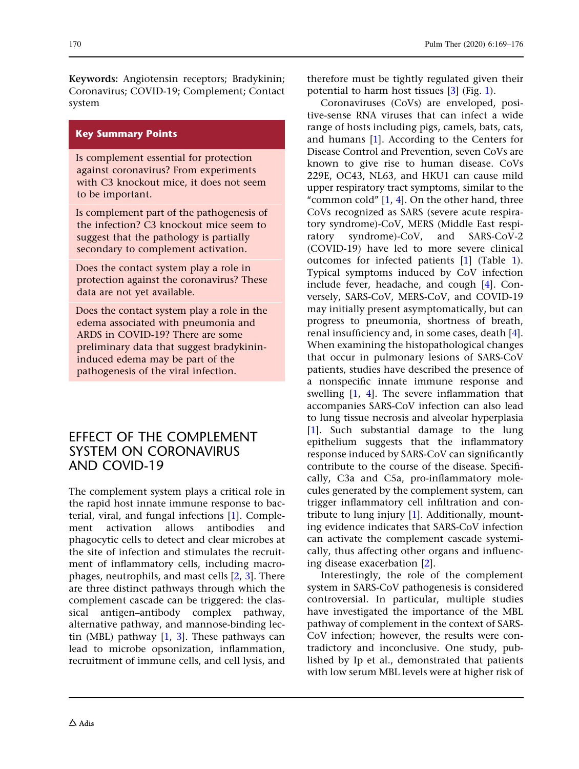Keywords: Angiotensin receptors; Bradykinin; Coronavirus; COVID-19; Complement; Contact system

#### Key Summary Points

Is complement essential for protection against coronavirus? From experiments with C3 knockout mice, it does not seem to be important.

Is complement part of the pathogenesis of the infection? C3 knockout mice seem to suggest that the pathology is partially secondary to complement activation.

Does the contact system play a role in protection against the coronavirus? These data are not yet available.

Does the contact system play a role in the edema associated with pneumonia and ARDS in COVID-19? There are some preliminary data that suggest bradykinininduced edema may be part of the pathogenesis of the viral infection.

#### EFFECT OF THE COMPLEMENT SYSTEM ON CORONAVIRUS AND COVID-19

The complement system plays a critical role in the rapid host innate immune response to bacterial, viral, and fungal infections [\[1](#page-6-0)]. Complement activation allows antibodies and phagocytic cells to detect and clear microbes at the site of infection and stimulates the recruitment of inflammatory cells, including macrophages, neutrophils, and mast cells [[2](#page-6-0), [3\]](#page-6-0). There are three distinct pathways through which the complement cascade can be triggered: the classical antigen–antibody complex pathway, alternative pathway, and mannose-binding lectin (MBL) pathway [[1](#page-6-0), [3](#page-6-0)]. These pathways can lead to microbe opsonization, inflammation, recruitment of immune cells, and cell lysis, and

therefore must be tightly regulated given their potential to harm host tissues [\[3](#page-6-0)] (Fig. [1](#page-2-0)).

Coronaviruses (CoVs) are enveloped, positive-sense RNA viruses that can infect a wide range of hosts including pigs, camels, bats, cats, and humans [[1](#page-6-0)]. According to the Centers for Disease Control and Prevention, seven CoVs are known to give rise to human disease. CoVs 229E, OC43, NL63, and HKU1 can cause mild upper respiratory tract symptoms, similar to the "common cold"  $[1, 4]$  $[1, 4]$  $[1, 4]$  $[1, 4]$ . On the other hand, three CoVs recognized as SARS (severe acute respiratory syndrome)-CoV, MERS (Middle East respiratory syndrome)-CoV, and SARS-CoV-2 (COVID-19) have led to more severe clinical outcomes for infected patients [[1](#page-6-0)] (Table [1](#page-3-0)). Typical symptoms induced by CoV infection include fever, headache, and cough [\[4](#page-6-0)]. Conversely, SARS-CoV, MERS-CoV, and COVID-19 may initially present asymptomatically, but can progress to pneumonia, shortness of breath, renal insufficiency and, in some cases, death [[4](#page-6-0)]. When examining the histopathological changes that occur in pulmonary lesions of SARS-CoV patients, studies have described the presence of a nonspecific innate immune response and swelling [[1,](#page-6-0) [4](#page-6-0)]. The severe inflammation that accompanies SARS-CoV infection can also lead to lung tissue necrosis and alveolar hyperplasia [\[1](#page-6-0)]. Such substantial damage to the lung epithelium suggests that the inflammatory response induced by SARS-CoV can significantly contribute to the course of the disease. Specifically, C3a and C5a, pro-inflammatory molecules generated by the complement system, can trigger inflammatory cell infiltration and contribute to lung injury [[1](#page-6-0)]. Additionally, mounting evidence indicates that SARS-CoV infection can activate the complement cascade systemically, thus affecting other organs and influencing disease exacerbation [[2](#page-6-0)].

Interestingly, the role of the complement system in SARS-CoV pathogenesis is considered controversial. In particular, multiple studies have investigated the importance of the MBL pathway of complement in the context of SARS-CoV infection; however, the results were contradictory and inconclusive. One study, published by Ip et al., demonstrated that patients with low serum MBL levels were at higher risk of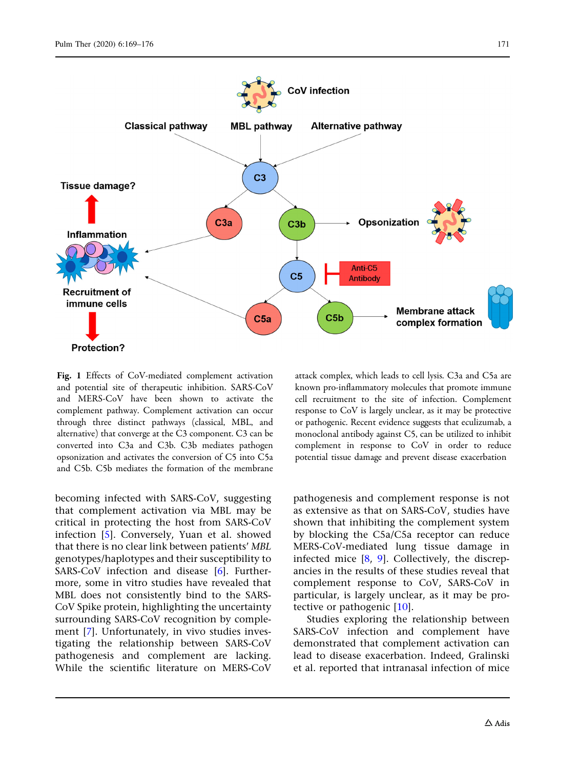<span id="page-2-0"></span>

Fig. 1 Effects of CoV-mediated complement activation and potential site of therapeutic inhibition. SARS-CoV and MERS-CoV have been shown to activate the complement pathway. Complement activation can occur through three distinct pathways (classical, MBL, and alternative) that converge at the C3 component. C3 can be converted into C3a and C3b. C3b mediates pathogen opsonization and activates the conversion of C5 into C5a and C5b. C5b mediates the formation of the membrane

becoming infected with SARS-CoV, suggesting that complement activation via MBL may be critical in protecting the host from SARS-CoV infection [\[5](#page-6-0)]. Conversely, Yuan et al. showed that there is no clear link between patients' MBL genotypes/haplotypes and their susceptibility to SARS-CoV infection and disease [[6](#page-6-0)]. Furthermore, some in vitro studies have revealed that MBL does not consistently bind to the SARS-CoV Spike protein, highlighting the uncertainty surrounding SARS-CoV recognition by complement [[7](#page-6-0)]. Unfortunately, in vivo studies investigating the relationship between SARS-CoV pathogenesis and complement are lacking. While the scientific literature on MERS-CoV

attack complex, which leads to cell lysis. C3a and C5a are known pro-inflammatory molecules that promote immune cell recruitment to the site of infection. Complement response to CoV is largely unclear, as it may be protective or pathogenic. Recent evidence suggests that eculizumab, a monoclonal antibody against C5, can be utilized to inhibit complement in response to CoV in order to reduce potential tissue damage and prevent disease exacerbation

pathogenesis and complement response is not as extensive as that on SARS-CoV, studies have shown that inhibiting the complement system by blocking the C5a/C5a receptor can reduce MERS-CoV-mediated lung tissue damage in infected mice [[8,](#page-6-0) [9](#page-6-0)]. Collectively, the discrepancies in the results of these studies reveal that complement response to CoV, SARS-CoV in particular, is largely unclear, as it may be protective or pathogenic [\[10\]](#page-6-0).

Studies exploring the relationship between SARS-CoV infection and complement have demonstrated that complement activation can lead to disease exacerbation. Indeed, Gralinski et al. reported that intranasal infection of mice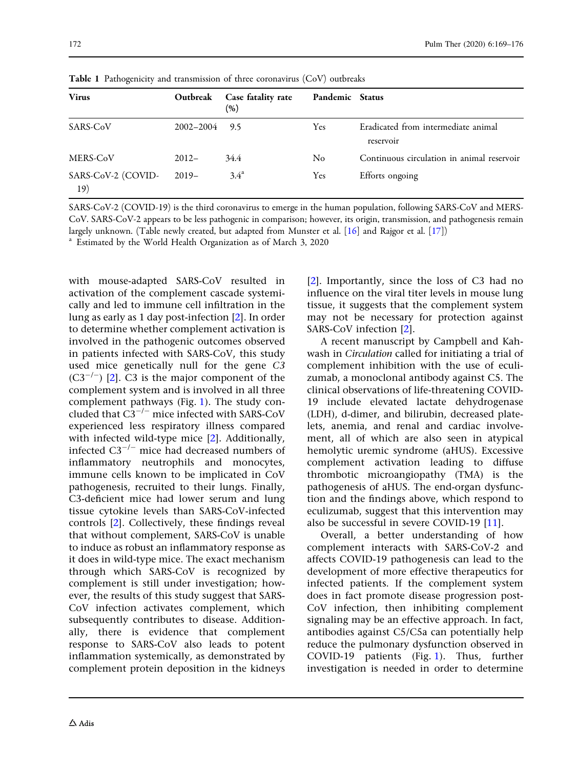| <b>Virus</b>              | Outbreak          | Case fatality rate<br>$(\%)$ | Pandemic Status |                                                  |
|---------------------------|-------------------|------------------------------|-----------------|--------------------------------------------------|
| SARS-CoV                  | $2002 - 2004$ 9.5 |                              | <b>Yes</b>      | Eradicated from intermediate animal<br>reservoir |
| MERS-CoV                  | $2012-$           | 34.4                         | No              | Continuous circulation in animal reservoir       |
| SARS-CoV-2 (COVID-<br>19) | $2019-$           | $3.4^a$                      | <b>Yes</b>      | Efforts ongoing                                  |

<span id="page-3-0"></span>Table 1 Pathogenicity and transmission of three coronavirus (CoV) outbreaks

SARS-CoV-2 (COVID-19) is the third coronavirus to emerge in the human population, following SARS-CoV and MERS-CoV. SARS-CoV-2 appears to be less pathogenic in comparison; however, its origin, transmission, and pathogenesis remain largely unknown. (Table newly created, but adapted from Munster et al. [\[16\]](#page-7-0) and Rajgor et al. [\[17\]](#page-7-0)) <sup>a</sup> Estimated by the World Health Organization as of March 3, 2020

with mouse-adapted SARS-CoV resulted in activation of the complement cascade systemically and led to immune cell infiltration in the lung as early as 1 day post-infection [[2](#page-6-0)]. In order to determine whether complement activation is involved in the pathogenic outcomes observed in patients infected with SARS-CoV, this study used mice genetically null for the gene C3  $(C3^{-/-})$  [[2](#page-6-0)]. C3 is the major component of the complement system and is involved in all three complement pathways (Fig. [1\)](#page-2-0). The study concluded that  $C3^{-/-}$  mice infected with SARS-CoV experienced less respiratory illness compared with infected wild-type mice [\[2\]](#page-6-0). Additionally, infected  $C3^{-/-}$  mice had decreased numbers of inflammatory neutrophils and monocytes, immune cells known to be implicated in CoV pathogenesis, recruited to their lungs. Finally, C3-deficient mice had lower serum and lung tissue cytokine levels than SARS-CoV-infected controls [\[2](#page-6-0)]. Collectively, these findings reveal that without complement, SARS-CoV is unable to induce as robust an inflammatory response as it does in wild-type mice. The exact mechanism through which SARS-CoV is recognized by complement is still under investigation; however, the results of this study suggest that SARS-CoV infection activates complement, which subsequently contributes to disease. Additionally, there is evidence that complement response to SARS-CoV also leads to potent inflammation systemically, as demonstrated by complement protein deposition in the kidneys

[\[2](#page-6-0)]. Importantly, since the loss of C3 had no influence on the viral titer levels in mouse lung tissue, it suggests that the complement system may not be necessary for protection against SARS-CoV infection [\[2](#page-6-0)].

A recent manuscript by Campbell and Kahwash in Circulation called for initiating a trial of complement inhibition with the use of eculizumab, a monoclonal antibody against C5. The clinical observations of life-threatening COVID-19 include elevated lactate dehydrogenase (LDH), d-dimer, and bilirubin, decreased platelets, anemia, and renal and cardiac involvement, all of which are also seen in atypical hemolytic uremic syndrome (aHUS). Excessive complement activation leading to diffuse thrombotic microangiopathy (TMA) is the pathogenesis of aHUS. The end-organ dysfunction and the findings above, which respond to eculizumab, suggest that this intervention may also be successful in severe COVID-19 [[11](#page-6-0)].

Overall, a better understanding of how complement interacts with SARS-CoV-2 and affects COVID-19 pathogenesis can lead to the development of more effective therapeutics for infected patients. If the complement system does in fact promote disease progression post-CoV infection, then inhibiting complement signaling may be an effective approach. In fact, antibodies against C5/C5a can potentially help reduce the pulmonary dysfunction observed in COVID-19 patients (Fig. [1](#page-2-0)). Thus, further investigation is needed in order to determine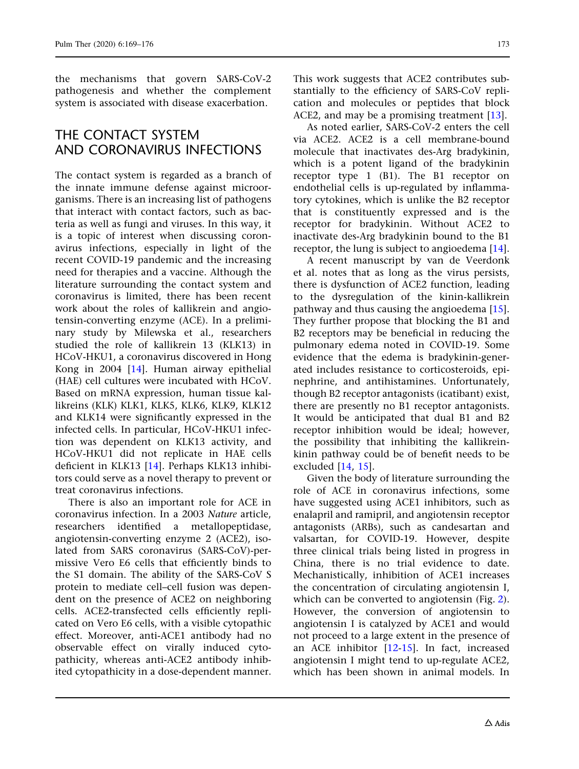## THE CONTACT SYSTEM AND CORONAVIRUS INFECTIONS

The contact system is regarded as a branch of the innate immune defense against microorganisms. There is an increasing list of pathogens that interact with contact factors, such as bacteria as well as fungi and viruses. In this way, it is a topic of interest when discussing coronavirus infections, especially in light of the recent COVID-19 pandemic and the increasing need for therapies and a vaccine. Although the literature surrounding the contact system and coronavirus is limited, there has been recent work about the roles of kallikrein and angiotensin-converting enzyme (ACE). In a preliminary study by Milewska et al., researchers studied the role of kallikrein 13 (KLK13) in HCoV-HKU1, a coronavirus discovered in Hong Kong in 2004 [\[14\]](#page-7-0). Human airway epithelial (HAE) cell cultures were incubated with HCoV. Based on mRNA expression, human tissue kallikreins (KLK) KLK1, KLK5, KLK6, KLK9, KLK12 and KLK14 were significantly expressed in the infected cells. In particular, HCoV-HKU1 infection was dependent on KLK13 activity, and HCoV-HKU1 did not replicate in HAE cells deficient in KLK13 [[14](#page-7-0)]. Perhaps KLK13 inhibitors could serve as a novel therapy to prevent or treat coronavirus infections.

There is also an important role for ACE in coronavirus infection. In a 2003 Nature article, researchers identified a metallopeptidase, angiotensin-converting enzyme 2 (ACE2), isolated from SARS coronavirus (SARS-CoV)-permissive Vero E6 cells that efficiently binds to the S1 domain. The ability of the SARS-CoV S protein to mediate cell–cell fusion was dependent on the presence of ACE2 on neighboring cells. ACE2-transfected cells efficiently replicated on Vero E6 cells, with a visible cytopathic effect. Moreover, anti-ACE1 antibody had no observable effect on virally induced cytopathicity, whereas anti-ACE2 antibody inhibited cytopathicity in a dose-dependent manner.

This work suggests that ACE2 contributes substantially to the efficiency of SARS-CoV replication and molecules or peptides that block ACE2, and may be a promising treatment [\[13\]](#page-7-0).

As noted earlier, SARS-CoV-2 enters the cell via ACE2. ACE2 is a cell membrane-bound molecule that inactivates des-Arg bradykinin, which is a potent ligand of the bradykinin receptor type 1 (B1). The B1 receptor on endothelial cells is up-regulated by inflammatory cytokines, which is unlike the B2 receptor that is constituently expressed and is the receptor for bradykinin. Without ACE2 to inactivate des-Arg bradykinin bound to the B1 receptor, the lung is subject to angioedema [[14](#page-7-0)].

A recent manuscript by van de Veerdonk et al. notes that as long as the virus persists, there is dysfunction of ACE2 function, leading to the dysregulation of the kinin-kallikrein pathway and thus causing the angioedema [[15](#page-7-0)]. They further propose that blocking the B1 and B2 receptors may be beneficial in reducing the pulmonary edema noted in COVID-19. Some evidence that the edema is bradykinin-generated includes resistance to corticosteroids, epinephrine, and antihistamines. Unfortunately, though B2 receptor antagonists (icatibant) exist, there are presently no B1 receptor antagonists. It would be anticipated that dual B1 and B2 receptor inhibition would be ideal; however, the possibility that inhibiting the kallikreinkinin pathway could be of benefit needs to be excluded [\[14,](#page-7-0) [15\]](#page-7-0).

Given the body of literature surrounding the role of ACE in coronavirus infections, some have suggested using ACE1 inhibitors, such as enalapril and ramipril, and angiotensin receptor antagonists (ARBs), such as candesartan and valsartan, for COVID-19. However, despite three clinical trials being listed in progress in China, there is no trial evidence to date. Mechanistically, inhibition of ACE1 increases the concentration of circulating angiotensin I, which can be converted to angiotensin (Fig. [2\)](#page-5-0). However, the conversion of angiotensin to angiotensin I is catalyzed by ACE1 and would not proceed to a large extent in the presence of an ACE inhibitor [\[12](#page-6-0)[-15\]](#page-7-0). In fact, increased angiotensin I might tend to up-regulate ACE2, which has been shown in animal models. In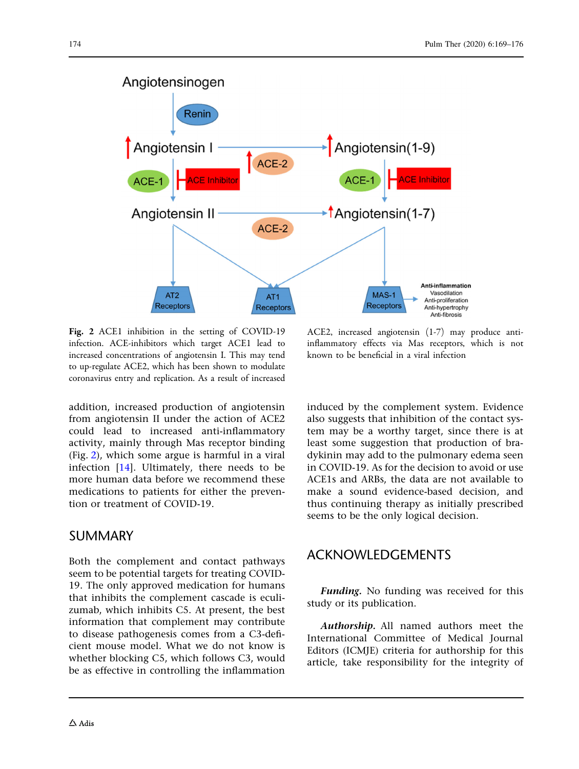<span id="page-5-0"></span>

Fig. 2 ACE1 inhibition in the setting of COVID-19 infection. ACE-inhibitors which target ACE1 lead to increased concentrations of angiotensin I. This may tend to up-regulate ACE2, which has been shown to modulate coronavirus entry and replication. As a result of increased

addition, increased production of angiotensin from angiotensin II under the action of ACE2 could lead to increased anti-inflammatory activity, mainly through Mas receptor binding (Fig. 2), which some argue is harmful in a viral infection [\[14\]](#page-7-0). Ultimately, there needs to be more human data before we recommend these medications to patients for either the prevention or treatment of COVID-19.

## SUMMARY

Both the complement and contact pathways seem to be potential targets for treating COVID-19. The only approved medication for humans that inhibits the complement cascade is eculizumab, which inhibits C5. At present, the best information that complement may contribute to disease pathogenesis comes from a C3-deficient mouse model. What we do not know is whether blocking C5, which follows C3, would be as effective in controlling the inflammation

ACE2, increased angiotensin (1-7) may produce antiinflammatory effects via Mas receptors, which is not known to be beneficial in a viral infection

induced by the complement system. Evidence also suggests that inhibition of the contact system may be a worthy target, since there is at least some suggestion that production of bradykinin may add to the pulmonary edema seen in COVID-19. As for the decision to avoid or use ACE1s and ARBs, the data are not available to make a sound evidence-based decision, and thus continuing therapy as initially prescribed seems to be the only logical decision.

## ACKNOWLEDGEMENTS

**Funding.** No funding was received for this study or its publication.

Authorship. All named authors meet the International Committee of Medical Journal Editors (ICMJE) criteria for authorship for this article, take responsibility for the integrity of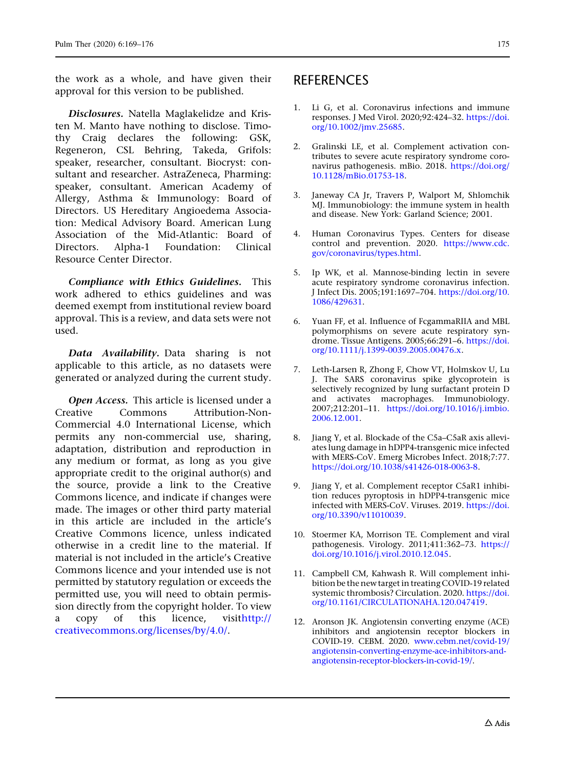<span id="page-6-0"></span>the work as a whole, and have given their approval for this version to be published.

Disclosures. Natella Maglakelidze and Kristen M. Manto have nothing to disclose. Timothy Craig declares the following: GSK, Regeneron, CSL Behring, Takeda, Grifols: speaker, researcher, consultant. Biocryst: consultant and researcher. AstraZeneca, Pharming: speaker, consultant. American Academy of Allergy, Asthma & Immunology: Board of Directors. US Hereditary Angioedema Association: Medical Advisory Board. American Lung Association of the Mid-Atlantic: Board of Directors. Alpha-1 Foundation: Clinical Resource Center Director.

Compliance with Ethics Guidelines. This work adhered to ethics guidelines and was deemed exempt from institutional review board approval. This is a review, and data sets were not used.

Data Availability. Data sharing is not applicable to this article, as no datasets were generated or analyzed during the current study.

Open Access. This article is licensed under a Creative Commons Attribution-Non-Commercial 4.0 International License, which permits any non-commercial use, sharing, adaptation, distribution and reproduction in any medium or format, as long as you give appropriate credit to the original author(s) and the source, provide a link to the Creative Commons licence, and indicate if changes were made. The images or other third party material in this article are included in the article's Creative Commons licence, unless indicated otherwise in a credit line to the material. If material is not included in the article's Creative Commons licence and your intended use is not permitted by statutory regulation or exceeds the permitted use, you will need to obtain permission directly from the copyright holder. To view a copy of this licence, visit[http://](http://creativecommons.org/licenses/by/4.0/) [creativecommons.org/licenses/by/4.0/](http://creativecommons.org/licenses/by/4.0/).

#### **REFERENCES**

- 1. Li G, et al. Coronavirus infections and immune responses. J Med Virol. 2020;92:424–32. [https://doi.](https://doi.org/10.1002/jmv.25685) [org/10.1002/jmv.25685](https://doi.org/10.1002/jmv.25685).
- 2. Gralinski LE, et al. Complement activation contributes to severe acute respiratory syndrome coronavirus pathogenesis. mBio. 2018. [https://doi.org/](https://doi.org/10.1128/mBio.01753-18) [10.1128/mBio.01753-18](https://doi.org/10.1128/mBio.01753-18).
- 3. Janeway CA Jr, Travers P, Walport M, Shlomchik MJ. Immunobiology: the immune system in health and disease. New York: Garland Science; 2001.
- 4. Human Coronavirus Types. Centers for disease control and prevention. 2020. [https://www.cdc.](https://www.cdc.gov/coronavirus/types.html) [gov/coronavirus/types.html.](https://www.cdc.gov/coronavirus/types.html)
- 5. Ip WK, et al. Mannose-binding lectin in severe acute respiratory syndrome coronavirus infection. J Infect Dis. 2005;191:1697–704. [https://doi.org/10.](https://doi.org/10.1086/429631) [1086/429631.](https://doi.org/10.1086/429631)
- 6. Yuan FF, et al. Influence of FcgammaRIIA and MBL polymorphisms on severe acute respiratory syndrome. Tissue Antigens. 2005;66:291–6. [https://doi.](https://doi.org/10.1111/j.1399-0039.2005.00476.x) [org/10.1111/j.1399-0039.2005.00476.x.](https://doi.org/10.1111/j.1399-0039.2005.00476.x)
- 7. Leth-Larsen R, Zhong F, Chow VT, Holmskov U, Lu J. The SARS coronavirus spike glycoprotein is selectively recognized by lung surfactant protein D and activates macrophages. Immunobiology. 2007;212:201–11. [https://doi.org/10.1016/j.imbio.](https://doi.org/10.1016/j.imbio.2006.12.001) [2006.12.001.](https://doi.org/10.1016/j.imbio.2006.12.001)
- 8. Jiang Y, et al. Blockade of the C5a–C5aR axis alleviates lung damage in hDPP4-transgenic mice infected with MERS-CoV. Emerg Microbes Infect. 2018;7:77. [https://doi.org/10.1038/s41426-018-0063-8.](https://doi.org/10.1038/s41426-018-0063-8)
- 9. Jiang Y, et al. Complement receptor C5aR1 inhibition reduces pyroptosis in hDPP4-transgenic mice infected with MERS-CoV. Viruses. 2019. [https://doi.](https://doi.org/10.3390/v11010039) [org/10.3390/v11010039.](https://doi.org/10.3390/v11010039)
- 10. Stoermer KA, Morrison TE. Complement and viral pathogenesis. Virology. 2011;411:362–73. [https://](https://doi.org/10.1016/j.virol.2010.12.045) [doi.org/10.1016/j.virol.2010.12.045.](https://doi.org/10.1016/j.virol.2010.12.045)
- 11. Campbell CM, Kahwash R. Will complement inhibition be the new target in treating COVID-19 related systemic thrombosis? Circulation. 2020. [https://doi.](https://doi.org/10.1161/CIRCULATIONAHA.120.047419) [org/10.1161/CIRCULATIONAHA.120.047419](https://doi.org/10.1161/CIRCULATIONAHA.120.047419).
- 12. Aronson JK. Angiotensin converting enzyme (ACE) inhibitors and angiotensin receptor blockers in COVID-19. CEBM. 2020. [www.cebm.net/covid-19/](http://www.cebm.net/covid-19/angiotensin-converting-enzyme-ace-inhibitors-and-angiotensin-receptor-blockers-in-covid-19/) [angiotensin-converting-enzyme-ace-inhibitors-and](http://www.cebm.net/covid-19/angiotensin-converting-enzyme-ace-inhibitors-and-angiotensin-receptor-blockers-in-covid-19/)[angiotensin-receptor-blockers-in-covid-19/](http://www.cebm.net/covid-19/angiotensin-converting-enzyme-ace-inhibitors-and-angiotensin-receptor-blockers-in-covid-19/).